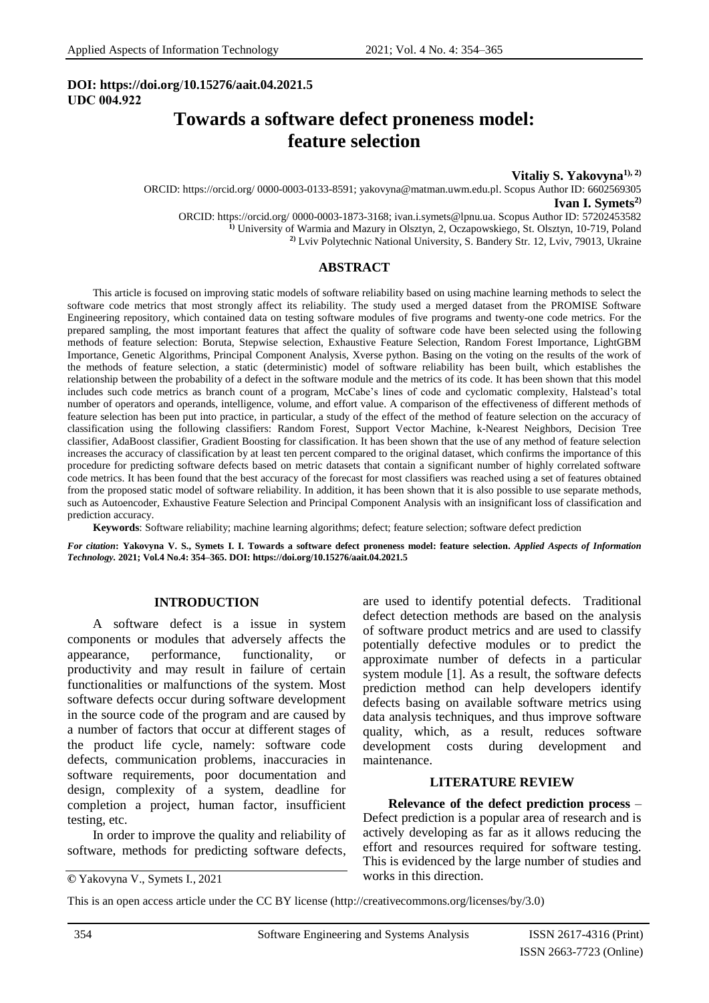### **DOI: [https://doi.org](https://doi.org/)**/**10.15276/aait.04.2021.5 UDС 004.922**

# **Towards a software defect proneness model: feature selection**

**Vitaliy S. Yakovyna1), 2)** ORCID: https://orcid.org/ 0000-0003-0133-8591; yakovyna@matman.uwm.edu.pl. Scopus Author ID: 6602569305 **Ivan I. Symets2)** ORCID: https://orcid.org/ [0000-0003-1873-3168;](https://orcid.org/0000-0002-3724-430) ivan.i.symets@lpnu.ua. Scopus Author ID: 57202453582 **1)** University of Warmia and Mazury in Olsztyn, 2, Oczapowskiego, St. Olsztyn, 10-719, Poland **2)** Lviv Polytechnic National University, S. Bandery Str. 12, Lviv, 79013, Ukraine

### **ABSTRACT**

This article is focused on improving static models of software reliability based on using machine learning methods to select the software code metrics that most strongly affect its reliability. The study used a merged dataset from the PROMISE Software Engineering repository, which contained data on testing software modules of five programs and twenty-one code metrics. For the prepared sampling, the most important features that affect the quality of software code have been selected using the following methods of feature selection: Boruta, Stepwise selection, Exhaustive Feature Selection, Random Forest Importance, LightGBM Importance, Genetic Algorithms, Principal Component Analysis, Xverse python. Basing on the voting on the results of the work of the methods of feature selection, a static (deterministic) model of software reliability has been built, which establishes the relationship between the probability of a defect in the software module and the metrics of its code. It has been shown that this model includes such code metrics as branch count of a program, McCabe's lines of code and cyclomatic complexity, Halstead's total number of operators and operands, intelligence, volume, and effort value. A comparison of the effectiveness of different methods of feature selection has been put into practice, in particular, a study of the effect of the method of feature selection on the accuracy of classification using the following classifiers: Random Forest, Support Vector Machine, k-Nearest Neighbors, Decision Tree classifier, AdaBoost classifier, Gradient Boosting for classification. It has been shown that the use of any method of feature selection increases the accuracy of classification by at least ten percent compared to the original dataset, which confirms the importance of this procedure for predicting software defects based on metric datasets that contain a significant number of highly correlated software code metrics. It has been found that the best accuracy of the forecast for most classifiers was reached using a set of features obtained from the proposed static model of software reliability. In addition, it has been shown that it is also possible to use separate methods, such as Autoencoder, Exhaustive Feature Selection and Principal Component Analysis with an insignificant loss of classification and prediction accuracy.

**Keywords**: Software reliability; machine learning algorithms; defect; feature selection; software defect prediction

*For citation***: Yakovyna V. S., Symets I. I. Towards a software defect proneness model: feature selection.** *Applied Aspects of Information Technology.* **2021; Vol.4 No.4: 354–365. DOI: [https://doi.org/1](https://doi.org/)0.15276/aait.04.2021.5**

### **INTRODUCTION**

A software defect is a issue in system components or modules that adversely affects the appearance, performance, functionality, or productivity and may result in failure of certain functionalities or malfunctions of the system. Most software defects occur during software development in the source code of the program and are caused by a number of factors that occur at different stages of the product life cycle, namely: software code defects, communication problems, inaccuracies in software requirements, poor documentation and design, complexity of a system, deadline for completion a project, human factor, insufficient testing, etc.

In order to improve the quality and reliability of software, methods for predicting software defects,

are used to identify potential defects. Traditional defect detection methods are based on the analysis of software product metrics and are used to classify potentially defective modules or to predict the approximate number of defects in a particular system module [1]. As a result, the software defects prediction method can help developers identify defects basing on available software metrics using data analysis techniques, and thus improve software quality, which, as a result, reduces software development costs during development and maintenance.

#### **LITERATURE REVIEW**

**Relevance of the defect prediction process** – Defect prediction is a popular area of research and is actively developing as far as it allows reducing the effort and resources required for software testing. This is evidenced by the large number of studies and works in this direction.

This is an open access article under the CC BY license (http://creativecommons.org/licenses/by/3.0)

**<sup>©</sup>**Yakovyna V., Symets I., 2021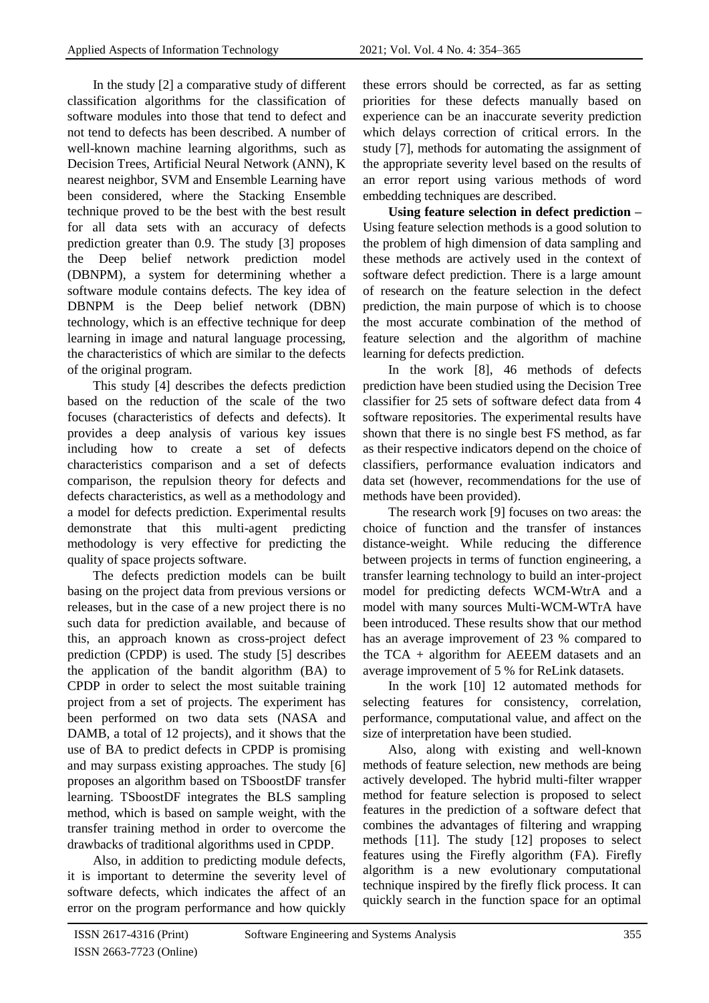In the study [2] a comparative study of different classification algorithms for the classification of software modules into those that tend to defect and not tend to defects has been described. A number of well-known machine learning algorithms, such as Decision Trees, Artificial Neural Network (ANN), K nearest neighbor, SVM and Ensemble Learning have been considered, where the Stacking Ensemble technique proved to be the best with the best result for all data sets with an accuracy of defects prediction greater than 0.9. The study [3] proposes the Deep belief network prediction model (DBNPM), a system for determining whether a software module contains defects. The key idea of DBNPM is the Deep belief network (DBN) technology, which is an effective technique for deep learning in image and natural language processing, the characteristics of which are similar to the defects of the original program.

This study [4] describes the defects prediction based on the reduction of the scale of the two focuses (characteristics of defects and defects). It provides a deep analysis of various key issues including how to create a set of defects characteristics comparison and a set of defects comparison, the repulsion theory for defects and defects characteristics, as well as a methodology and a model for defects prediction. Experimental results demonstrate that this multi-agent predicting methodology is very effective for predicting the quality of space projects software.

The defects prediction models can be built basing on the project data from previous versions or releases, but in the case of a new project there is no such data for prediction available, and because of this, an approach known as cross-project defect prediction (CPDP) is used. The study [5] describes the application of the bandit algorithm (BA) to CPDP in order to select the most suitable training project from a set of projects. The experiment has been performed on two data sets (NASA and DAMB, a total of 12 projects), and it shows that the use of BA to predict defects in CPDP is promising and may surpass existing approaches. The study [6] proposes an algorithm based on TSboostDF transfer learning. TSboostDF integrates the BLS sampling method, which is based on sample weight, with the transfer training method in order to overcome the drawbacks of traditional algorithms used in CPDP.

Also, in addition to predicting module defects, it is important to determine the severity level of software defects, which indicates the affect of an error on the program performance and how quickly these errors should be corrected, as far as setting priorities for these defects manually based on experience can be an inaccurate severity prediction which delays correction of critical errors. In the study [7], methods for automating the assignment of the appropriate severity level based on the results of an error report using various methods of word embedding techniques are described.

**Using feature selection in defect prediction –** Using feature selection methods is a good solution to the problem of high dimension of data sampling and these methods are actively used in the context of software defect prediction. There is a large amount of research on the feature selection in the defect prediction, the main purpose of which is to choose the most accurate combination of the method of feature selection and the algorithm of machine learning for defects prediction.

In the work [8], 46 methods of defects prediction have been studied using the Decision Tree classifier for 25 sets of software defect data from 4 software repositories. The experimental results have shown that there is no single best FS method, as far as their respective indicators depend on the choice of classifiers, performance evaluation indicators and data set (however, recommendations for the use of methods have been provided).

The research work [9] focuses on two areas: the choice of function and the transfer of instances distance-weight. While reducing the difference between projects in terms of function engineering, a transfer learning technology to build an inter-project model for predicting defects WCM-WtrA and a model with many sources Multi-WCM-WTrA have been introduced. These results show that our method has an average improvement of 23 % compared to the TCA + algorithm for AEEEM datasets and an average improvement of 5 % for ReLink datasets.

In the work [10] 12 automated methods for selecting features for consistency, correlation, performance, computational value, and affect on the size of interpretation have been studied.

Also, along with existing and well-known methods of feature selection, new methods are being actively developed. The hybrid multi-filter wrapper method for feature selection is proposed to select features in the prediction of a software defect that combines the advantages of filtering and wrapping methods [11]. The study [12] proposes to select features using the Firefly algorithm (FA). Firefly algorithm is a new evolutionary computational technique inspired by the firefly flick process. It can quickly search in the function space for an optimal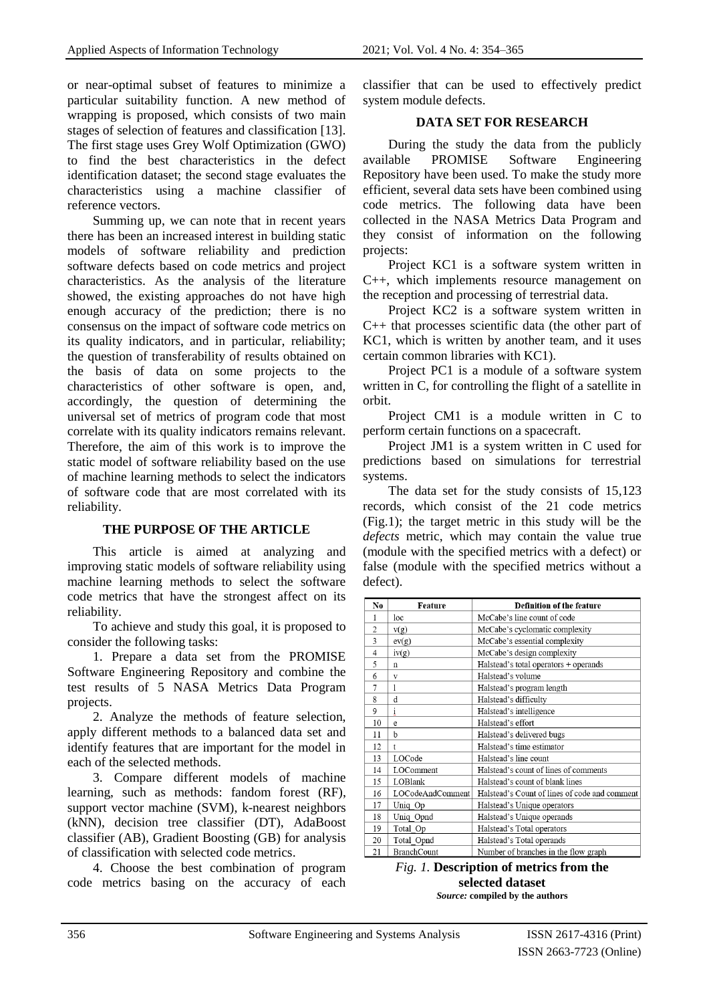or near-optimal subset of features to minimize a particular suitability function. A new method of wrapping is proposed, which consists of two main stages of selection of features and classification [13]. The first stage uses Grey Wolf Optimization (GWO) to find the best characteristics in the defect identification dataset; the second stage evaluates the characteristics using a machine classifier of reference vectors.

Summing up, we can note that in recent years there has been an increased interest in building static models of software reliability and prediction software defects based on code metrics and project characteristics. As the analysis of the literature showed, the existing approaches do not have high enough accuracy of the prediction; there is no consensus on the impact of software code metrics on its quality indicators, and in particular, reliability; the question of transferability of results obtained on the basis of data on some projects to the characteristics of other software is open, and, accordingly, the question of determining the universal set of metrics of program code that most correlate with its quality indicators remains relevant. Therefore, the aim of this work is to improve the static model of software reliability based on the use of machine learning methods to select the indicators of software code that are most correlated with its reliability.

### **THE PURPOSE OF THE ARTICLE**

This article is aimed at analyzing and improving static models of software reliability using machine learning methods to select the software code metrics that have the strongest affect on its reliability.

To achieve and study this goal, it is proposed to consider the following tasks:

1. Prepare a data set from the PROMISE Software Engineering Repository and combine the test results of 5 NASA Metrics Data Program projects.

2. Analyze the methods of feature selection, apply different methods to a balanced data set and identify features that are important for the model in each of the selected methods.

3. Compare different models of machine learning, such as methods: fandom forest (RF), support vector machine (SVM), k-nearest neighbors (kNN), decision tree classifier (DT), AdaBoost classifier (AB), Gradient Boosting (GB) for analysis of classification with selected code metrics.

4. Choose the best combination of program code metrics basing on the accuracy of each classifier that can be used to effectively predict system module defects.

### **DATA SET FOR RESEARCH**

During the study the data from the publicly available PROMISE Software Engineering Repository have been used. To make the study more efficient, several data sets have been combined using code metrics. The following data have been collected in the NASA Metrics Data Program and they consist of information on the following projects:

Project KC1 is a software system written in C++, which implements resource management on the reception and processing of terrestrial data.

Project KC2 is a software system written in C++ that processes scientific data (the other part of KC1, which is written by another team, and it uses certain common libraries with KC1).

Project PC1 is a module of a software system written in C, for controlling the flight of a satellite in orbit.

Project CM1 is a module written in C to perform certain functions on a spacecraft.

Project JM1 is a system written in C used for predictions based on simulations for terrestrial systems.

The data set for the study consists of 15,123 records, which consist of the 21 code metrics (Fig.1); the target metric in this study will be the *defects* metric, which may contain the value true (module with the specified metrics with a defect) or false (module with the specified metrics without a defect).

| No.            | <b>Feature</b>     | <b>Definition of the feature</b>              |
|----------------|--------------------|-----------------------------------------------|
| 1              | loc                | McCabe's line count of code                   |
| $\overline{2}$ | v(g)               | McCabe's cyclomatic complexity                |
| 3              | ev(g)              | McCabe's essential complexity                 |
| $\overline{4}$ | iv(g)              | McCabe's design complexity                    |
| 5              | n                  | Halstead's total operators + operands         |
| 6              | v                  | Halstead's volume                             |
| 7              | 1                  | Halstead's program length                     |
| 8              | d                  | Halstead's difficulty                         |
| 9              | i                  | Halstead's intelligence                       |
| 10             | e                  | Halstead's effort                             |
| 11             | b                  | Halstead's delivered bugs                     |
| 12             | t                  | Halstead's time estimator                     |
| 13             | LOCode             | Halstead's line count                         |
| 14             | LOComment          | Halstead's count of lines of comments         |
| 15             | LOBlank            | Halstead's count of blank lines               |
| 16             | LOCodeAndComment   | Halstead's Count of lines of code and comment |
| 17             | Uniq Op            | Halstead's Unique operators                   |
| 18             | Uniq Opnd          | Halstead's Unique operands                    |
| 19             | Total Op           | Halstead's Total operators                    |
| 20             | Total Opnd         | Halstead's Total operands                     |
| 21             | <b>BranchCount</b> | Number of branches in the flow graph          |

*Fig. 1.* **Description of metrics from the selected dataset** *Source:* **compiled by the authors**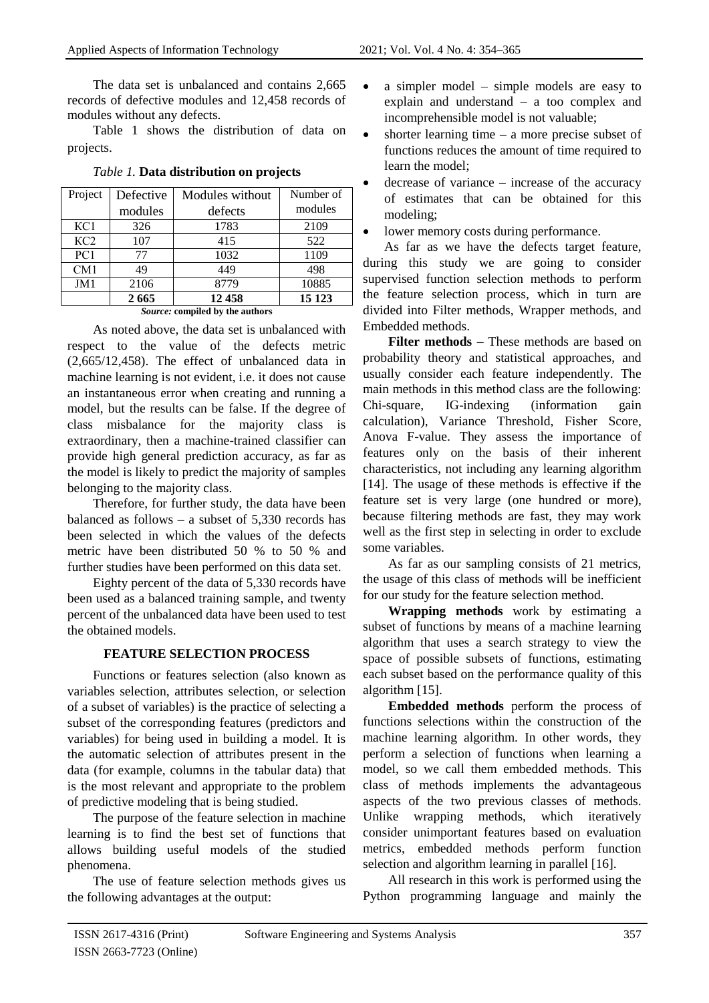The data set is unbalanced and contains 2,665 records of defective modules and 12,458 records of modules without any defects.

Table 1 shows the distribution of data on projects.

| Project                         | Defective | Modules without | Number of |  |  |
|---------------------------------|-----------|-----------------|-----------|--|--|
|                                 | modules   | defects         | modules   |  |  |
| KCl                             | 326       | 1783            | 2109      |  |  |
| KC <sub>2</sub>                 | 107       | 415             | 522       |  |  |
| PC1                             | 77        | 1032            | 1109      |  |  |
| CM1                             | 49        | 449             | 498       |  |  |
| JM1                             | 2106      | 8779            | 10885     |  |  |
|                                 | 2665      | 12 458          | 15 1 23   |  |  |
| Source: compiled by the authors |           |                 |           |  |  |

*Table 1.* **Data distribution on projects**

*Source:* **compiled by the authors**

As noted above, the data set is unbalanced with respect to the value of the defects metric (2,665/12,458). The effect of unbalanced data in machine learning is not evident, i.e. it does not cause an instantaneous error when creating and running a model, but the results can be false. If the degree of class misbalance for the majority class is extraordinary, then a machine-trained classifier can provide high general prediction accuracy, as far as the model is likely to predict the majority of samples belonging to the majority class.

Therefore, for further study, the data have been balanced as follows – a subset of 5,330 records has been selected in which the values of the defects metric have been distributed 50 % to 50 % and further studies have been performed on this data set.

Eighty percent of the data of 5,330 records have been used as a balanced training sample, and twenty percent of the unbalanced data have been used to test the obtained models.

# **FEATURE SELECTION PROCESS**

Functions or features selection (also known as variables selection, attributes selection, or selection of a subset of variables) is the practice of selecting a subset of the corresponding features (predictors and variables) for being used in building a model. It is the automatic selection of attributes present in the data (for example, columns in the tabular data) that is the most relevant and appropriate to the problem of predictive modeling that is being studied.

The purpose of the feature selection in machine learning is to find the best set of functions that allows building useful models of the studied phenomena.

The use of feature selection methods gives us the following advantages at the output:

- a simpler model simple models are easy to explain and understand – a too complex and incomprehensible model is not valuable;
- $\bullet$  shorter learning time a more precise subset of functions reduces the amount of time required to learn the model;
- decrease of variance increase of the accuracy of estimates that can be obtained for this modeling;
- lower memory costs during performance.

As far as we have the defects target feature, during this study we are going to consider supervised function selection methods to perform the feature selection process, which in turn are divided into Filter methods, Wrapper methods, and Embedded methods.

**Filter methods –** These methods are based on probability theory and statistical approaches, and usually consider each feature independently. The main methods in this method class are the following: Chi-square, IG-indexing (information gain calculation), Variance Threshold, Fisher Score, Anova F-value. They assess the importance of features only on the basis of their inherent characteristics, not including any learning algorithm [14]. The usage of these methods is effective if the feature set is very large (one hundred or more), because filtering methods are fast, they may work well as the first step in selecting in order to exclude some variables.

As far as our sampling consists of 21 metrics, the usage of this class of methods will be inefficient for our study for the feature selection method.

**Wrapping methods** work by estimating a subset of functions by means of a machine learning algorithm that uses a search strategy to view the space of possible subsets of functions, estimating each subset based on the performance quality of this algorithm [15].

**Embedded methods** perform the process of functions selections within the construction of the machine learning algorithm. In other words, they perform a selection of functions when learning a model, so we call them embedded methods. This class of methods implements the advantageous aspects of the two previous classes of methods. Unlike wrapping methods, which iteratively consider unimportant features based on evaluation metrics, embedded methods perform function selection and algorithm learning in parallel [16].

All research in this work is performed using the Python programming language and mainly the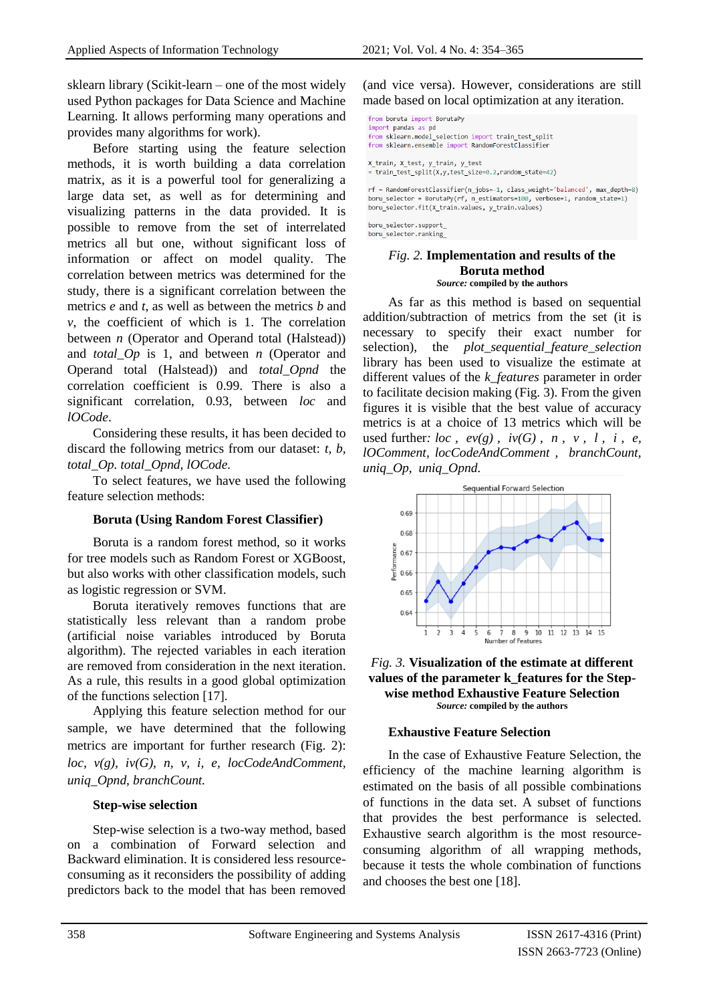sklearn library (Scikit-learn – one of the most widely used Python packages for Data Science and Machine Learning. It allows performing many operations and provides many algorithms for work).

Before starting using the feature selection methods, it is worth building a data correlation matrix, as it is a powerful tool for generalizing a large data set, as well as for determining and visualizing patterns in the data provided. It is possible to remove from the set of interrelated metrics all but one, without significant loss of information or affect on model quality. The correlation between metrics was determined for the study, there is a significant correlation between the metrics *e* and *t*, as well as between the metrics *b* and *v*, the coefficient of which is 1. The correlation between *n* (Operator and Operand total (Halstead)) and *total\_Op* is 1, and between *n* (Operator and Operand total (Halstead)) and *total\_Opnd* the correlation coefficient is 0.99. There is also a significant correlation, 0.93, between *loc* and *lOCode*.

Considering these results, it has been decided to discard the following metrics from our dataset: *t, b, total\_Op. total\_Opnd, lOCode.*

To select features, we have used the following feature selection methods:

### **Boruta (Using Random Forest Classifier)**

Boruta is a random forest method, so it works for tree models such as Random Forest or XGBoost, but also works with other classification models, such as logistic regression or SVM.

Boruta iteratively removes functions that are statistically less relevant than a random probe (artificial noise variables introduced by Boruta algorithm). The rejected variables in each iteration are removed from consideration in the next iteration. As a rule, this results in a good global optimization of the functions selection [17].

Applying this feature selection method for our sample, we have determined that the following metrics are important for further research (Fig. 2): *loc, v(g), iv(G), n, v, i, e, locCodeAndComment, uniq\_Opnd, branchCount.*

### **Step-wise selection**

Step-wise selection is a two-way method, based on a combination of Forward selection and Backward elimination. It is considered less resourceconsuming as it reconsiders the possibility of adding predictors back to the model that has been removed

(and vice versa). However, considerations are still made based on local optimization at any iteration.

from boruta import BorutaPy import pandas as pd from sklearn.model\_selection import train\_test\_split from sklearn.ensemble import RandomForestClassifier X\_train, X\_test, y\_train, y\_test = train\_test\_split(X,y,test\_size=0.2,random\_state=42)

rf = RandomForestClassifier(n\_jobs=-1, class\_weight='balanced', max\_depth=8) boru selector = BorutaPy(rf, n estimators=100, verbose=1, random state=1)

boru\_selector.fit(X\_train.values, y\_train.values) boru selector.support

## boru selector.ranking

#### *Fig. 2.* **Implementation and results of the Boruta method** *Source:* **compiled by the authors**

As far as this method is based on sequential addition/subtraction of metrics from the set (it is necessary to specify their exact number for selection), the *plot\_sequential\_feature\_selection* library has been used to visualize the estimate at different values of the *k\_features* parameter in order to facilitate decision making (Fig. 3). From the given figures it is visible that the best value of accuracy metrics is at a choice of 13 metrics which will be used further:  $loc \,$ ,  $ev(g)$ ,  $iv(G)$ ,  $n$ ,  $v$ ,  $l$ ,  $i$ ,  $e$ , *lOComment, locCodeAndComment , branchCount, uniq\_Op, uniq\_Opnd.*





### **Exhaustive Feature Selection**

In the case of Exhaustive Feature Selection, the efficiency of the machine learning algorithm is estimated on the basis of all possible combinations of functions in the data set. A subset of functions that provides the best performance is selected. Exhaustive search algorithm is the most resourceconsuming algorithm of all wrapping methods, because it tests the whole combination of functions and chooses the best one [18].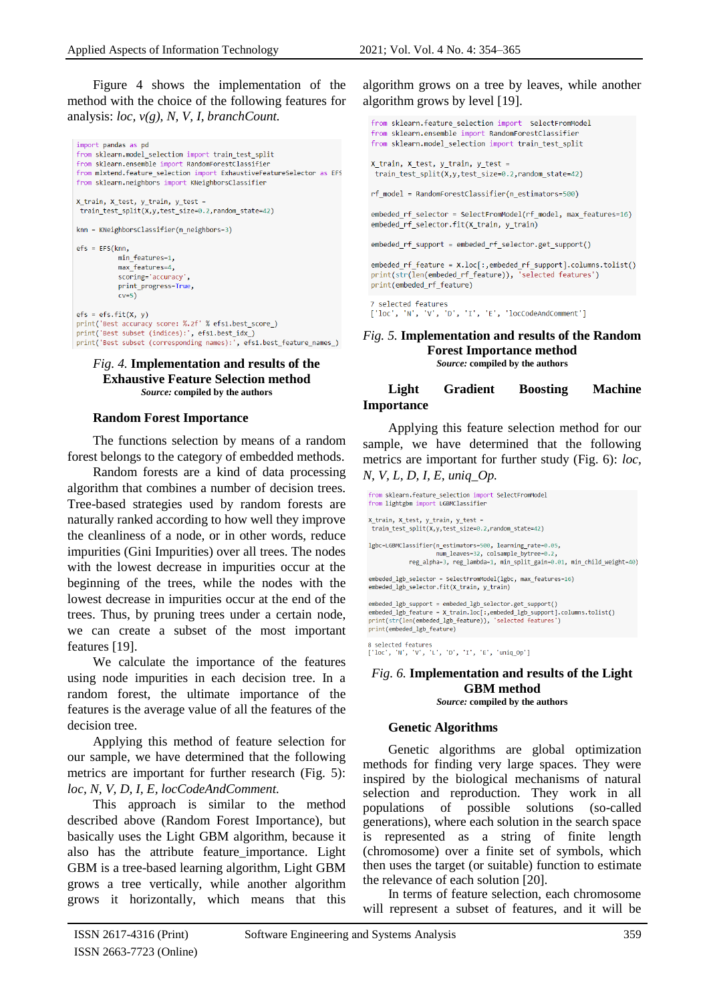Figure 4 shows the implementation of the method with the choice of the following features for analysis: *loc, v(g), N, V, I, branchCount.*

```
import pandas as pd
from sklearn.model_selection import train_test_split
from sklearn.ensemble import RandomForestClassifier
from mlxtend.feature selection import ExhaustiveFeatureSelector as EFS
from sklearn.neighbors import KNeighborsClassifier
X_train, X_test, y_train, y_test =
train_test_split(X,y,test_size=0.2,random_state=42)
knn = KNeighborsClassifier(n neighbors=3)
efs = FFS(knn)min features=1.
           max_features=4,
           scoring='accuracy'
          print progress=True,
          cv=5)efs = efs.fit(X, y)print('Best accuracy score: %.2f' % efs1.best_score_)
print('Best subset (indices):', efs1.best_idx_)
print('Best subset (corresponding names):', efs1.best_feature_names_)
```
#### *Fig. 4.* **Implementation and results of the Exhaustive Feature Selection method** *Source:* **compiled by the authors**

#### **Random Forest Importance**

The functions selection by means of a random forest belongs to the category of embedded methods.

Random forests are a kind of data processing algorithm that combines a number of decision trees. Tree-based strategies used by random forests are naturally ranked according to how well they improve the cleanliness of a node, or in other words, reduce impurities (Gini Impurities) over all trees. The nodes with the lowest decrease in impurities occur at the beginning of the trees, while the nodes with the lowest decrease in impurities occur at the end of the trees. Thus, by pruning trees under a certain node, we can create a subset of the most important features [19].

We calculate the importance of the features using node impurities in each decision tree. In a random forest, the ultimate importance of the features is the average value of all the features of the decision tree.

Applying this method of feature selection for our sample, we have determined that the following metrics are important for further research (Fig. 5): *loc, N, V, D, I, E, locCodeAndComment.*

This approach is similar to the method described above (Random Forest Importance), but basically uses the Light GBM algorithm, because it also has the attribute feature\_importance. Light GBM is a tree-based learning algorithm, Light GBM grows a tree vertically, while another algorithm grows it horizontally, which means that this

algorithm grows on a tree by leaves, while another algorithm grows by level [19].

```
from sklearn.feature_selection import SelectFromModel
from sklearn.ensemble import RandomForestClassifier
from sklearn.model_selection import train_test_split
```

```
X_train, X_test, y_train, y_test =
train_test_split(X,y,test_size=0.2,random_state=42)
```
rf model = RandomForestClassifier(n estimators=500)

embeded\_rf\_selector = SelectFromModel(rf\_model, max\_features=16) embeded rf selector.fit(X train, y train)

embeded rf support = embeded rf selector.get support()

embeded rf feature = X.loc[:,embeded rf support].columns.tolist() print(str(len(embeded\_rf\_feature)), 'selected features') print(embeded rf feature)

7 selected features ['loc', 'N', 'V', 'D', 'I', 'E', 'locCodeAndComment']

#### *Fig. 5.* **Implementation and results of the Random Forest Importance method** *Source:* **compiled by the authors**

#### **Light Gradient Boosting Machine Importance**

Applying this feature selection method for our sample, we have determined that the following metrics are important for further study (Fig. 6): *loc, N, V, L, D, I, E, uniq\_Op.*

```
from sklearn.feature_selection import SelectFromModel
from lightgbm import LGBMClassifier
X train, X test, y train, y test a
train_test_split(X,y,test_size=0.2,random_state=42)
lgbc=LGBMClassifier(n_estimators=500, learning_rate=0.05,
                   num leaves=32, colsample bytree=0.2,
           reg_alpha=3, reg_lambda=1, min_split_gain=0.01, min_child_weight=40)
embeded_lgb_selector = SelectFromModel(lgbc, max_features=16)
embeded lgb selector.fit(X train, y train)
embeded lgb support = embeded lgb selector.get support()
embeded_lgb_feature = X_train.loc[:,embeded_lgb_support].columns.tolist()
print(str(len(embeded_lgb_feature)), 'selected features')
```
8 selected features<br>['loc', 'N', 'V', 'L', 'D', 'I', 'E', 'uniq\_Op']

print(embeded\_lgb\_feature)

#### *Fig. 6.* **Implementation and results of the Light GBM method** *Source:* **compiled by the authors**

### **Genetic Algorithms**

Genetic algorithms are global optimization methods for finding very large spaces. They were inspired by the biological mechanisms of natural selection and reproduction. They work in all populations of possible solutions (so-called generations), where each solution in the search space is represented as a string of finite length (chromosome) over a finite set of symbols, which then uses the target (or suitable) function to estimate the relevance of each solution [20].

In terms of feature selection, each chromosome will represent a subset of features, and it will be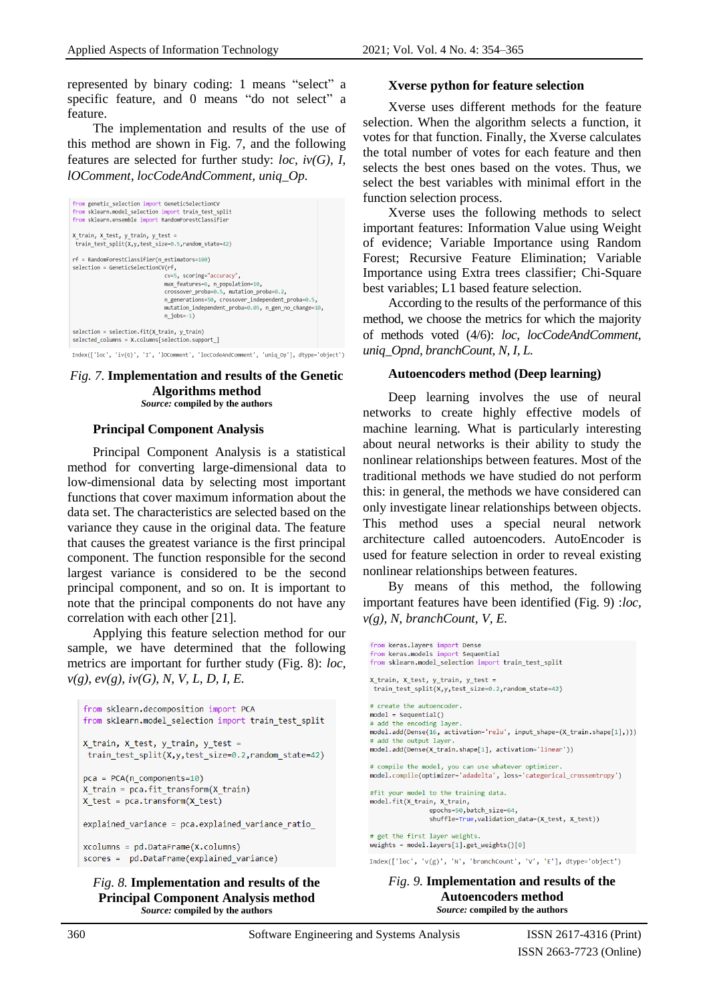represented by binary coding: 1 means "select" a specific feature, and 0 means "do not select" a feature.

The implementation and results of the use of this method are shown in Fig. 7, and the following features are selected for further study: *loc, iv(G), I, lOComment, locCodeAndComment, uniq\_Op.*



#### *Fig. 7.* **Implementation and results of the Genetic Algorithms method** *Source:* **compiled by the authors**

#### **Principal Component Analysis**

Principal Component Analysis is a statistical method for converting large-dimensional data to low-dimensional data by selecting most important functions that cover maximum information about the data set. The characteristics are selected based on the variance they cause in the original data. The feature that causes the greatest variance is the first principal component. The function responsible for the second largest variance is considered to be the second principal component, and so on. It is important to note that the principal components do not have any correlation with each other [21].

Applying this feature selection method for our sample, we have determined that the following metrics are important for further study (Fig. 8): *loc, v(g), ev(g), iv(G), N, V, L, D, I, E.*

```
from sklearn.decomposition import PCA
from sklearn.model_selection import train_test_split
x train, x test, y train, y test =
train test split(X,y,test size=0.2,random state=42)
pca = PCA(n\_components=10)X train = pca.fit transform(X train)
x_{test} = pca.trainsform(x_test)explained variance = pca.explained variance ratio
xcolumns = pd.DataFrame(X.columns)scores = pd.DataFrame(explained variance)
```
#### *Fig. 8.* **Implementation and results of the Principal Component Analysis method** *Source:* **compiled by the authors**

#### **Xverse python for feature selection**

Xverse uses different methods for the feature selection. When the algorithm selects a function, it votes for that function. Finally, the Xverse calculates the total number of votes for each feature and then selects the best ones based on the votes. Thus, we select the best variables with minimal effort in the function selection process.

Xverse uses the following methods to select important features: Information Value using Weight of evidence; Variable Importance using Random Forest; Recursive Feature Elimination; Variable Importance using Extra trees classifier; Chi-Square best variables; L1 based feature selection.

According to the results of the performance of this method, we choose the metrics for which the majority of methods voted (4/6): *loc, locCodeAndComment, uniq\_Opnd, branchCount, N, I, L.*

#### **Autoencoders method (Deep learning)**

Deep learning involves the use of neural networks to create highly effective models of machine learning. What is particularly interesting about neural networks is their ability to study the nonlinear relationships between features. Most of the traditional methods we have studied do not perform this: in general, the methods we have considered can only investigate linear relationships between objects. This method uses a special neural network architecture called autoencoders. AutoEncoder is used for feature selection in order to reveal existing nonlinear relationships between features.

By means of this method, the following important features have been identified (Fig. 9) :*loc, v(g), N, branchCount, V, E.*

```
from keras.layers import Dense
from keras.models import Sequential
from sklearn.model_selection_import_train_test_split
X train, X test, v train, v test =
train_test_split(X,y,test_size=0.2,random_state=42)
# create the autoencode
model = Sequential()# add the encoding layer
model.add(Dense(16, activation='relu', input_shape=(X_train.shape[1],)))
# add the output laver
model.add(Dense(X_train.shape[1], activation='linear'))
# compile the model, you can use whatever optimizer.
model.compile(optimizer='adadelta', loss='categorical_crossentropy')
#fit your model to the training data.
model.fit(X_train, X_train,
               epochs=50,batch_size=64,
               shuffle=True, validation_data=(X_test, X_test))
 get the first layer weights.
weights = modelu = [1].get_weights()[0]Index(['loc', 'v(g)', 'N', 'branchCount', 'V', 'E'], dtype='object')
```

```
Fig. 9. Implementation and results of the 
          Autoencoders method
         Source: compiled by the authors
```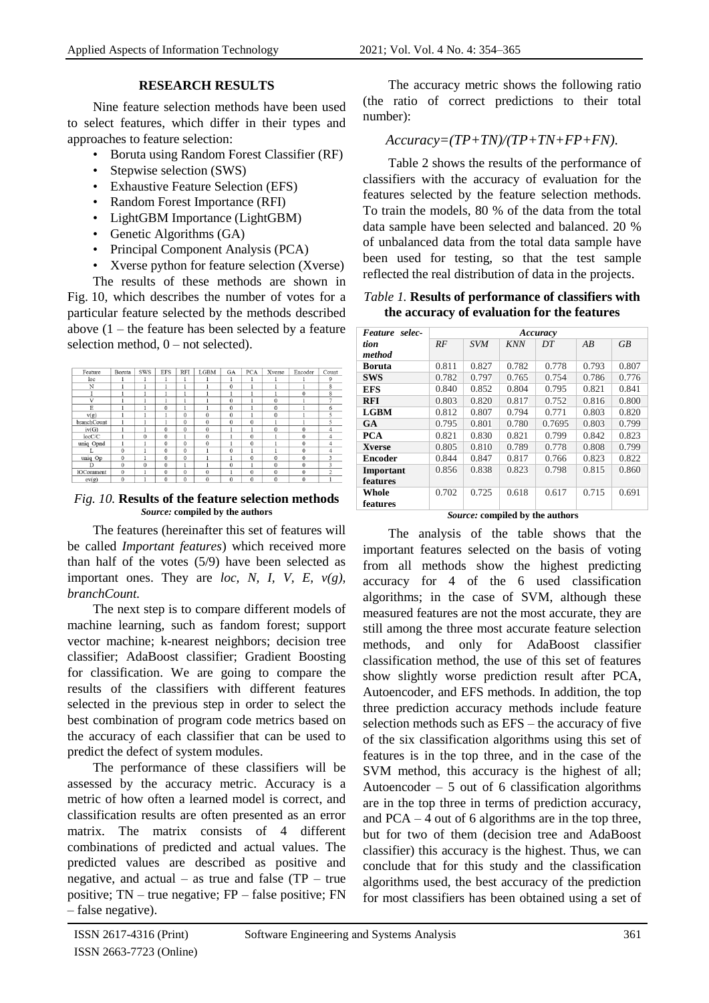# **RESEARCH RESULTS**

Nine feature selection methods have been used to select features, which differ in their types and approaches to feature selection:

- Boruta using Random Forest Classifier (RF)
- Stepwise selection (SWS)
- Exhaustive Feature Selection (EFS)
- Random Forest Importance (RFI)
- LightGBM Importance (LightGBM)
- Genetic Algorithms (GA)
- Principal Component Analysis (PCA)
- Xverse python for feature selection (Xverse)

The results of these methods are shown in Fig. 10, which describes the number of votes for a particular feature selected by the methods described above  $(1 -$  the feature has been selected by a feature selection method,  $0$  – not selected).

| Feature          | Boruta       | <b>SWS</b> | <b>EFS</b>   | <b>RFI</b>   | <b>LGBM</b>  | GA           | <b>PCA</b>     | Xverse       | Encoder      | Count          |
|------------------|--------------|------------|--------------|--------------|--------------|--------------|----------------|--------------|--------------|----------------|
| loc              |              | 1          |              | 1            |              | 1            |                |              |              | 9              |
| N                |              |            |              |              |              | $\bf{0}$     |                |              |              | 8              |
|                  |              |            |              | ٠            |              | 1            |                |              | $\Omega$     | 8              |
| v                |              |            |              |              |              | $\Omega$     |                | $\bf{0}$     |              |                |
| E                |              |            | $\mathbf{0}$ | ı            |              | $\bf{0}$     |                | $\bf{0}$     |              | 6              |
| v(g)             |              |            |              | $\bf{0}$     | $\mathbf{0}$ | $\bf{0}$     |                | $\bf{0}$     |              | 5              |
| branchCount      |              |            |              | $\Omega$     | $\Omega$     | $\Omega$     | $\Omega$       |              |              | 5              |
| iv(G)            |              | 1          | $\Omega$     | $\Omega$     | $\theta$     |              |                | $\theta$     | $\theta$     | $\overline{4}$ |
| locC/C           |              | $\Omega$   | $\mathbf{0}$ | ı            | $\Omega$     |              | $\overline{0}$ |              | $\Omega$     | 4              |
| uniq Opnd        |              |            | $\bf{0}$     | $\theta$     | $\mathbf{0}$ |              | $\mathbf{0}$   |              | $\theta$     | 4              |
|                  | $\bf{0}$     |            | $\bf{0}$     | $\Omega$     |              | $\bf{0}$     |                |              | $\bf{0}$     | 4              |
| uniq Op          | $\mathbf{0}$ | l          | $\mathbf{0}$ | $\mathbf{0}$ |              | 1            | $\theta$       | $\mathbf{0}$ | $\mathbf{0}$ | 3              |
| D                | $\bf{0}$     | $\theta$   | $\bf{0}$     | 1            |              | $\mathbf{0}$ |                | $\bf{0}$     | $\Omega$     | 3              |
| <b>lOComment</b> | $\mathbf{0}$ |            | $\mathbf{0}$ | $\bf{0}$     | $\Omega$     |              | $\overline{0}$ | $\mathbf{0}$ | $\theta$     | $\overline{c}$ |
| ev(g)            | $\theta$     | 1          | $\Omega$     | $\Omega$     | $\theta$     | $\Omega$     | $\theta$       | $\bf{0}$     | $\theta$     |                |

*Fig. 10.* **Results of the feature selection methods** *Source:* **compiled by the authors**

The features (hereinafter this set of features will be called *Important features*) which received more than half of the votes (5/9) have been selected as important ones. They are *loc, N, I, V, E, v(g), branchCount.*

The next step is to compare different models of machine learning, such as fandom forest; support vector machine; k-nearest neighbors; decision tree classifier; AdaBoost classifier; Gradient Boosting for classification. We are going to compare the results of the classifiers with different features selected in the previous step in order to select the best combination of program code metrics based on the accuracy of each classifier that can be used to predict the defect of system modules.

The performance of these classifiers will be assessed by the accuracy metric. Accuracy is a metric of how often a learned model is correct, and classification results are often presented as an error matrix. The matrix consists of 4 different combinations of predicted and actual values. The predicted values are described as positive and negative, and actual – as true and false  $(TP - true$ positive; TN – true negative; FP – false positive; FN – false negative).

The accuracy metric shows the following ratio (the ratio of correct predictions to their total number):

# *Accuracy=(TP+TN)/(TP+TN+FP+FN).*

Table 2 shows the results of the performance of classifiers with the accuracy of evaluation for the features selected by the feature selection methods. To train the models, 80 % of the data from the total data sample have been selected and balanced. 20 % of unbalanced data from the total data sample have been used for testing, so that the test sample reflected the real distribution of data in the projects.

### *Table 1.* **Results of performance of classifiers with the accuracy of evaluation for the features**

| Feature selec- | Accuracy |            |            |        |       |           |  |  |
|----------------|----------|------------|------------|--------|-------|-----------|--|--|
| tion           | RF       | <b>SVM</b> | <b>KNN</b> | DT     | AB    | <b>GB</b> |  |  |
| method         |          |            |            |        |       |           |  |  |
| <b>Boruta</b>  | 0.811    | 0.827      | 0.782      | 0.778  | 0.793 | 0.807     |  |  |
| <b>SWS</b>     | 0.782    | 0.797      | 0.765      | 0.754  | 0.786 | 0.776     |  |  |
| <b>EFS</b>     | 0.840    | 0.852      | 0.804      | 0.795  | 0.821 | 0.841     |  |  |
| <b>RFI</b>     | 0.803    | 0.820      | 0.817      | 0.752  | 0.816 | 0.800     |  |  |
| <b>LGBM</b>    | 0.812    | 0.807      | 0.794      | 0.771  | 0.803 | 0.820     |  |  |
| <b>GA</b>      | 0.795    | 0.801      | 0.780      | 0.7695 | 0.803 | 0.799     |  |  |
| <b>PCA</b>     | 0.821    | 0.830      | 0.821      | 0.799  | 0.842 | 0.823     |  |  |
| <b>Xverse</b>  | 0.805    | 0.810      | 0.789      | 0.778  | 0.808 | 0.799     |  |  |
| <b>Encoder</b> | 0.844    | 0.847      | 0.817      | 0.766  | 0.823 | 0.822     |  |  |
| Important      | 0.856    | 0.838      | 0.823      | 0.798  | 0.815 | 0.860     |  |  |
| features       |          |            |            |        |       |           |  |  |
| Whole          | 0.702    | 0.725      | 0.618      | 0.617  | 0.715 | 0.691     |  |  |
| features       |          |            |            |        |       |           |  |  |

 *Source:* **compiled by the authors**

The analysis of the table shows that the important features selected on the basis of voting from all methods show the highest predicting accuracy for 4 of the 6 used classification algorithms; in the case of SVM, although these measured features are not the most accurate, they are still among the three most accurate feature selection methods, and only for AdaBoost classifier classification method, the use of this set of features show slightly worse prediction result after PCA, Autoencoder, and EFS methods. In addition, the top three prediction accuracy methods include feature selection methods such as EFS – the accuracy of five of the six classification algorithms using this set of features is in the top three, and in the case of the SVM method, this accuracy is the highest of all; Autoencoder  $-5$  out of 6 classification algorithms are in the top three in terms of prediction accuracy, and  $PCA - 4$  out of 6 algorithms are in the top three, but for two of them (decision tree and AdaBoost classifier) this accuracy is the highest. Thus, we can conclude that for this study and the classification algorithms used, the best accuracy of the prediction for most classifiers has been obtained using a set of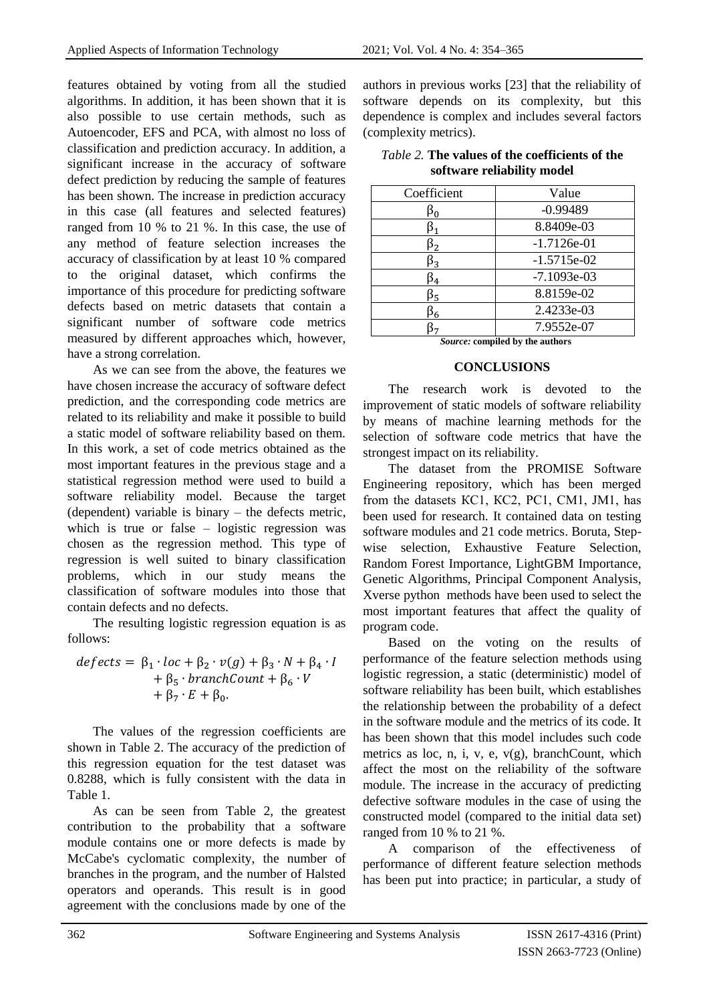features obtained by voting from all the studied algorithms. In addition, it has been shown that it is also possible to use certain methods, such as Autoencoder, EFS and PCA, with almost no loss of classification and prediction accuracy. In addition, a significant increase in the accuracy of software defect prediction by reducing the sample of features has been shown. The increase in prediction accuracy in this case (all features and selected features) ranged from 10 % to 21 %. In this case, the use of any method of feature selection increases the accuracy of classification by at least 10 % compared to the original dataset, which confirms the importance of this procedure for predicting software defects based on metric datasets that contain a significant number of software code metrics measured by different approaches which, however, have a strong correlation.

As we can see from the above, the features we have chosen increase the accuracy of software defect prediction, and the corresponding code metrics are related to its reliability and make it possible to build a static model of software reliability based on them. In this work, a set of code metrics obtained as the most important features in the previous stage and a statistical regression method were used to build a software reliability model. Because the target (dependent) variable is binary – the defects metric, which is true or false – logistic regression was chosen as the regression method. This type of regression is well suited to binary classification problems, which in our study means the classification of software modules into those that contain defects and no defects.

The resulting logistic regression equation is as follows:

$$
defects = \beta_1 \cdot loc + \beta_2 \cdot v(g) + \beta_3 \cdot N + \beta_4 \cdot I
$$
  
+  $\beta_5 \cdot branchCount + \beta_6 \cdot V$   
+  $\beta_7 \cdot E + \beta_0$ .

The values of the regression coefficients are shown in Table 2. The accuracy of the prediction of this regression equation for the test dataset was 0.8288, which is fully consistent with the data in Table 1.

As can be seen from Table 2, the greatest contribution to the probability that a software module contains one or more defects is made by McCabe's cyclomatic complexity, the number of branches in the program, and the number of Halsted operators and operands. This result is in good agreement with the conclusions made by one of the

authors in previous works [23] that the reliability of software depends on its complexity, but this dependence is complex and includes several factors (complexity metrics).

| Coefficient    | Value                       |
|----------------|-----------------------------|
| $\bm{\beta_0}$ | $-0.99489$                  |
| β1             | 8.8409e-03                  |
| $\beta_2$      | $-1.7126e-01$               |
| $\beta_3$      | $-1.5715e-02$               |
| $\beta_4$      | $-7.1093e-03$               |
| β5             | 8.8159e-02                  |
| $\beta_6$      | 2.4233e-03                  |
|                | 7.9552e-07                  |
|                | - -<br>$\sim$ $\sim$ $\sim$ |

*Table 2.* **The values of the coefficients of the software reliability model**

 *Source:* **compiled by the authors**

#### **CONCLUSIONS**

The research work is devoted to the improvement of static models of software reliability by means of machine learning methods for the selection of software code metrics that have the strongest impact on its reliability.

The dataset from the PROMISE Software Engineering repository, which has been merged from the datasets КС1, КС2, PC1, CM1, JM1, has been used for research. It contained data on testing software modules and 21 code metrics. Boruta, Stepwise selection, Exhaustive Feature Selection, Random Forest Importance, LightGBM Importance, Genetic Algorithms, Principal Component Analysis, Xverse python methods have been used to select the most important features that affect the quality of program code.

Based on the voting on the results of performance of the feature selection methods using logistic regression, a static (deterministic) model of software reliability has been built, which establishes the relationship between the probability of a defect in the software module and the metrics of its code. It has been shown that this model includes such code metrics as loc, n, i, v, e,  $v(g)$ , branchCount, which affect the most on the reliability of the software module. The increase in the accuracy of predicting defective software modules in the case of using the constructed model (compared to the initial data set) ranged from 10 % to 21 %.

A comparison of the effectiveness of performance of different feature selection methods has been put into practice; in particular, a study of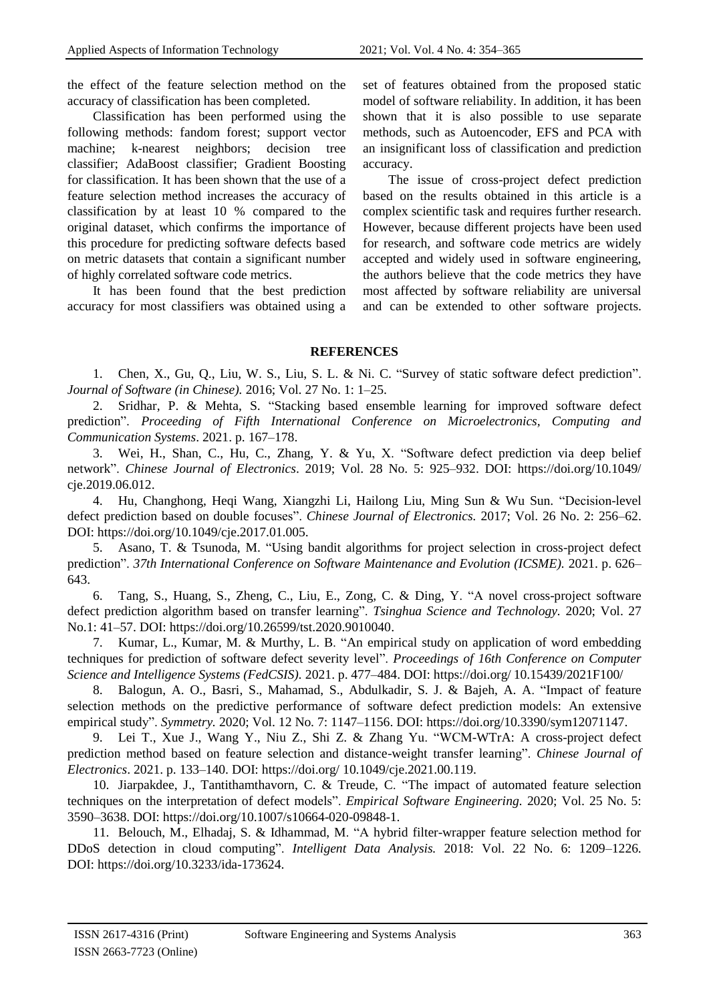the effect of the feature selection method on the accuracy of classification has been completed.

Classification has been performed using the following methods: fandom forest; support vector machine; k-nearest neighbors; decision tree classifier; AdaBoost classifier; Gradient Boosting for classification. It has been shown that the use of a feature selection method increases the accuracy of classification by at least 10 % compared to the original dataset, which confirms the importance of this procedure for predicting software defects based on metric datasets that contain a significant number of highly correlated software code metrics.

It has been found that the best prediction accuracy for most classifiers was obtained using a set of features obtained from the proposed static model of software reliability. In addition, it has been shown that it is also possible to use separate methods, such as Autoencoder, EFS and PCA with an insignificant loss of classification and prediction accuracy.

The issue of cross-project defect prediction based on the results obtained in this article is a complex scientific task and requires further research. However, because different projects have been used for research, and software code metrics are widely accepted and widely used in software engineering, the authors believe that the code metrics they have most affected by software reliability are universal and can be extended to other software projects.

### **REFERENCES**

1. Chen, X., Gu, Q., Liu, W. S., Liu, S. L. & Ni. C. "Survey of static software defect prediction". *Journal of Software (in Chinese).* 2016; Vol. 27 No. 1: 1–25.

2. Sridhar, P. & Mehta, S. "Stacking based ensemble learning for improved software defect prediction". *Proceeding of Fifth International Conference on Microelectronics, Computing and Communication Systems*. 2021. p. 167–178.

3. Wei, H., Shan, C., Hu, C., Zhang, Y. & Yu, X. "Software defect prediction via deep belief network". *Chinese Journal of Electronics*. 2019; Vol. 28 No. 5: 925–932. DOI:<https://doi.org/10.1049/> cje.2019.06.012.

4. Hu, Changhong, Heqi Wang, Xiangzhi Li, Hailong Liu, Ming Sun & Wu Sun. "Decision-level defect prediction based on double focuses". *Chinese Journal of Electronics.* 2017; Vol. 26 No. 2: 256–62. DOI: https://doi.org/10.1049/cje.2017.01.005.

5. Asano, T. & Tsunoda, M. "Using bandit algorithms for project selection in cross-project defect prediction". *37th International Conference on Software Maintenance and Evolution (ICSME).* 2021. p. 626– 643.

6. Tang, S., Huang, S., Zheng, C., Liu, E., Zong, C. & Ding, Y. "A novel cross-project software defect prediction algorithm based on transfer learning". *Tsinghua Science and Technology.* 2020; Vol. 27 No.1: 41–57. DOI: [https://doi.org/10.26599/tst.2020.9010040.](https://doi.org/10.26599/tst.2020.9010040)

7. Kumar, L., Kumar, M. & Murthy, L. B. "An empirical study on application of word embedding techniques for prediction of software defect severity level". *Proceedings of 16th Conference on Computer Science and Intelligence Systems (FedCSIS).* 2021. p. 477–484. DOI: https://doi.org/ 10.15439/2021F100/

8. Balogun, A. O., Basri, S., Mahamad, S., Abdulkadir, S. J. & Bajeh, A. A. "Impact of feature selection methods on the predictive performance of software defect prediction models: An extensive empirical study". *Symmetry.* 2020; Vol. 12 No. 7: 1147–1156. DOI: https://doi.org/10.3390/sym12071147.

9. Lei T., Xue J., Wang Y., Niu Z., Shi Z. & Zhang Yu. "WCM-WTrA: A cross-project defect prediction method based on feature selection and distance-weight transfer learning". *Chinese Journal of Electronics*. 2021. p. 133–140. DOI: https://doi.org/ 10.1049/cje.2021.00.119.

10. Jiarpakdee, J., Tantithamthavorn, C. & Treude, C. "The impact of automated feature selection techniques on the interpretation of defect models". *Empirical Software Engineering.* 2020; Vol. 25 No. 5: 3590–3638. DOI: https://doi.org/10.1007/s10664-020-09848-1.

11. Belouch, M., Elhadaj, S. & Idhammad, M. "A hybrid filter-wrapper feature selection method for DDoS detection in cloud computing". *Intelligent Data Analysis.* 2018: Vol. 22 No. 6: 1209–1226. DOI: https://doi.org/10.3233/ida-173624.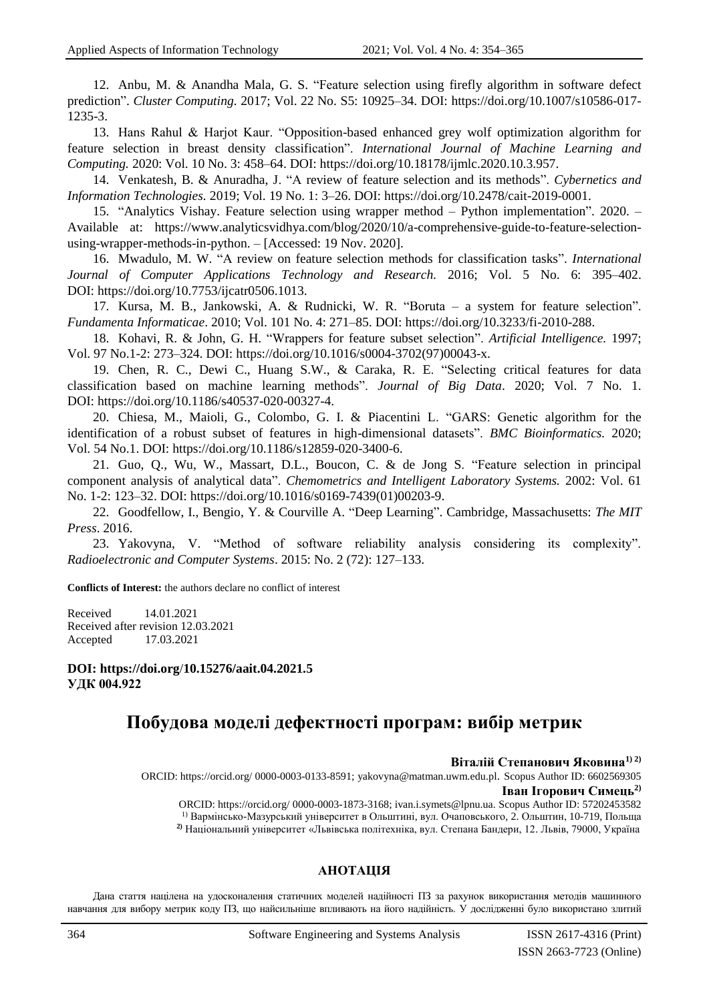12. Anbu, M. & Anandha Mala, G. S. "Feature selection using firefly algorithm in software defect prediction". *Cluster Computing.* 2017; Vol. 22 No. S5: 10925–34. DOI: [https://doi.org/10.1007/s10586-017-](https://doi.org/10.1007/s10586-017-1235-3) [1235-3.](https://doi.org/10.1007/s10586-017-1235-3)

13. Hans Rahul & Harjot Kaur. "Opposition-based enhanced grey wolf optimization algorithm for feature selection in breast density classification". *International Journal of Machine Learning and Computing.* 2020: Vol. 10 No. 3: 458–64. DOI: https://doi.org/10.18178/ijmlc.2020.10.3.957.

14. Venkatesh, B. & Anuradha, J. "A review of feature selection and its methods". *Cybernetics and Information Technologies.* 2019; Vol. 19 No. 1: 3–26. DOI: [https://doi.org/10.2478/cait-2019-0001.](https://doi.org/10.2478/cait-2019-0001)

15. "Analytics Vishay. Feature selection using wrapper method – Python implementation". 2020. – Available at: https://www.analyticsvidhya.com/blog/2020/10/a-comprehensive-guide-to-feature-selectionusing-wrapper-methods-in-python. – [Accessed: 19 Nov. 2020].

16. Mwadulo, M. W. "A review on feature selection methods for classification tasks". *International Journal of Computer Applications Technology and Research.* 2016; Vol. 5 No. 6: 395–402. DOI: https://doi.org/10.7753/ijcatr0506.1013.

17. Kursa, M. B., Jankowski, A. & Rudnicki, W. R. "Boruta – a system for feature selection". *Fundamenta Informaticae*. 2010; Vol. 101 No. 4: 271–85. DOI: [https://doi.org/10.3233/fi-2010-288.](https://doi.org/10.3233/fi-2010-288)

18. Kohavi, R. & John, G. H. "Wrappers for feature subset selection". *Artificial Intelligence.* 1997; Vol. 97 No.1-2: 273–324. DOI: [https://doi.org/10.1016/s0004-3702\(97\)00043-x.](https://doi.org/10.1016/s0004-3702(97)00043-x)

19. Chen, R. C., Dewi C., Huang S.W., & Caraka, R. E. "Selecting critical features for data classification based on machine learning methods". *Journal of Big Data*. 2020; Vol. 7 No. 1. DOI: [https://doi.org/10.1186/s40537-020-00327-4.](https://doi.org/10.1186/s40537-020-00327-4)

20. Chiesa, M., Maioli, G., Colombo, G. I. & Piacentini L. "GARS: Genetic algorithm for the identification of a robust subset of features in high-dimensional datasets". *BMC Bioinformatics.* 2020; Vol. 54 No.1. DOI: [https://doi.org/10.1186/s12859-020-3400-6.](https://doi.org/10.1186/s12859-020-3400-64)

21. Guo, Q., Wu, W., Massart, D.L., Boucon, C. & de Jong S. "Feature selection in principal component analysis of analytical data". *Chemometrics and Intelligent Laboratory Systems.* 2002: Vol. 61 No. 1-2: 123–32. DOI: [https://doi.org/10.1016/s0169-7439\(01\)00203-9.](https://doi.org/10.1016/s0169-7439(01)00203-9)

22. Goodfellow, I., Bengio, Y. & Courville A. "Deep Learning". Cambridge, Massachusetts: *The MIT Press*. 2016.

23. Yakovyna, V. "Method of software reliability analysis considering its complexity". *Radioelectronic and Computer Systems*. 2015: No. 2 (72): 127–133.

**Conflicts of Interest:** the authors declare no conflict of interest

Received 14.01.2021 Received after revision 12.03.2021 Accepted 17.03.2021

**DOI: [https://doi.org](https://doi.org/)**/**10.15276/aait.04.2021.5 УДК 004.922**

# **Побудова моделі дефектності програм: вибір метрик**

#### **Віталій Степанович Яковина1) 2)**

 ORCID: https://orcid.org/ 0000-0003-0133-8591; yakovyna@matman.uwm.edu.pl. Scopus Author ID: 6602569305 **Іван Ігорович Симець2)**

ORCID: https://orcid.org/ [0000-0003-1873-3168;](https://orcid.org/0000-0002-3724-430) ivan.i.symets@lpnu.ua. Scopus Author ID: 57202453582 1) Вармінсько-Мазурський університет в Ольштині, вул. Очаповського, 2. Ольштин, 10-719, Польща  **2)** Національний університет «Львівська політехніка, вул. Степана Бандери, 12. Львів, 79000, Україна

### **АНОТАЦІЯ**

Дана стаття націлена на удосконалення статичних моделей надійності ПЗ за рахунок використання методів машинного навчання для вибору метрик коду ПЗ, що найсильніше впливають на його надійність. У дослідженні було використано злитий